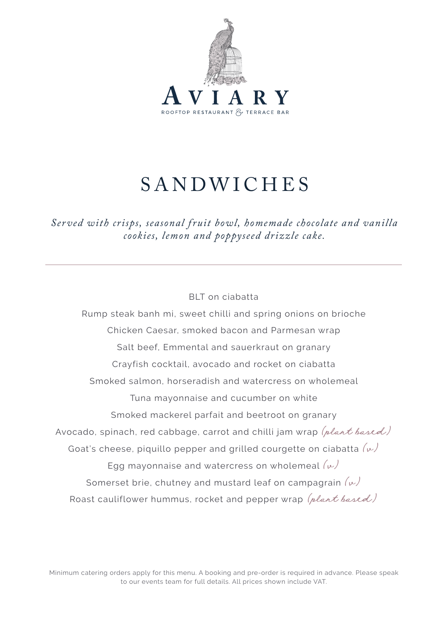

# SANDWICHES

*Ser ved with crisps, seasonal f ruit bowl, homemade chocolate and vanilla cookies, lemon and poppyseed drizzle cake.*

### BLT on ciabatta

Rump steak banh mi, sweet chilli and spring onions on brioche Chicken Caesar, smoked bacon and Parmesan wrap Salt beef, Emmental and sauerkraut on granary Crayfish cocktail, avocado and rocket on ciabatta Smoked salmon, horseradish and watercress on wholemeal Tuna mayonnaise and cucumber on white Smoked mackerel parfait and beetroot on granary Avocado, spinach, red cabbage, carrot and chilli jam wrap (plant based) Goat's cheese, piquillo pepper and grilled courgette on ciabatta  $(\nu)$ Egg mayonnaise and watercress on wholemeal  $(\omega)$ Somerset brie, chutney and mustard leaf on campagrain  $(\omega)$ Roast cauliflower hummus, rocket and pepper wrap (plant based)

Minimum catering orders apply for this menu. A booking and pre-order is required in advance. Please speak to our events team for full details. All prices shown include VAT.